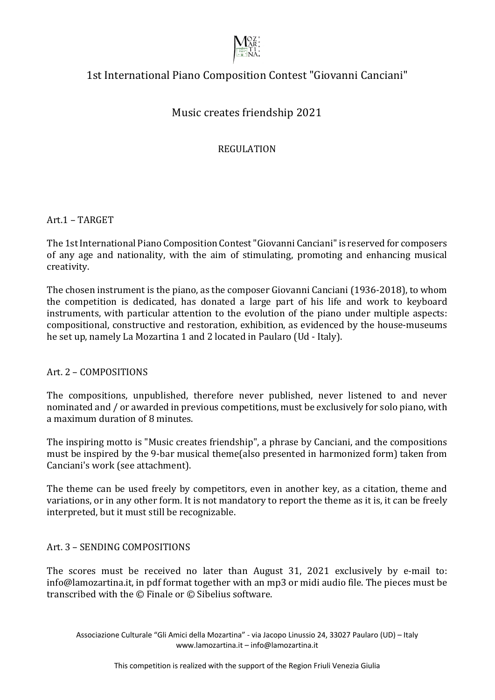

# 1st International Piano Composition Contest "Giovanni Canciani"

# Music creates friendship 2021

REGULATION

Art.1 – TARGET

The 1st International Piano Composition Contest "Giovanni Canciani" is reserved for composers of any age and nationality, with the aim of stimulating, promoting and enhancing musical creativity.

The chosen instrument is the piano, as the composer Giovanni Canciani (1936-2018), to whom the competition is dedicated, has donated a large part of his life and work to keyboard instruments, with particular attention to the evolution of the piano under multiple aspects: compositional, constructive and restoration, exhibition, as evidenced by the house-museums he set up, namely La Mozartina 1 and 2 located in Paularo (Ud - Italy).

Art. 2 - COMPOSITIONS

The compositions, unpublished, therefore never published, never listened to and never nominated and / or awarded in previous competitions, must be exclusively for solo piano, with a maximum duration of 8 minutes.

The inspiring motto is "Music creates friendship", a phrase by Canciani, and the compositions must be inspired by the 9-bar musical theme(also presented in harmonized form) taken from Canciani's work (see attachment).

The theme can be used freely by competitors, even in another key, as a citation, theme and variations, or in any other form. It is not mandatory to report the theme as it is, it can be freely interpreted, but it must still be recognizable.

# Art. 3 - SENDING COMPOSITIONS

The scores must be received no later than August 31, 2021 exclusively by e-mail to: info@lamozartina.it, in pdf format together with an mp3 or midi audio file. The pieces must be transcribed with the  $\odot$  Finale or  $\odot$  Sibelius software.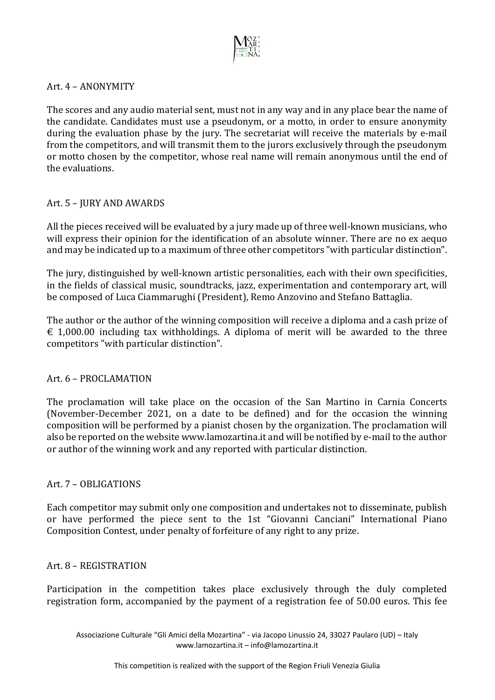

#### Art. 4 - ANONYMITY

The scores and any audio material sent, must not in any way and in any place bear the name of the candidate. Candidates must use a pseudonym, or a motto, in order to ensure anonymity during the evaluation phase by the jury. The secretariat will receive the materials by e-mail from the competitors, and will transmit them to the jurors exclusively through the pseudonym or motto chosen by the competitor, whose real name will remain anonymous until the end of the evaluations.

## Art. 5 - JURY AND AWARDS

All the pieces received will be evaluated by a jury made up of three well-known musicians, who will express their opinion for the identification of an absolute winner. There are no ex aequo and may be indicated up to a maximum of three other competitors "with particular distinction".

The jury, distinguished by well-known artistic personalities, each with their own specificities, in the fields of classical music, soundtracks, jazz, experimentation and contemporary art, will be composed of Luca Ciammarughi (President), Remo Anzovino and Stefano Battaglia.

The author or the author of the winning composition will receive a diploma and a cash prize of  $\epsilon$  1,000.00 including tax withholdings. A diploma of merit will be awarded to the three competitors "with particular distinction".

#### Art. 6 - PROCLAMATION

The proclamation will take place on the occasion of the San Martino in Carnia Concerts (November-December 2021, on a date to be defined) and for the occasion the winning composition will be performed by a pianist chosen by the organization. The proclamation will also be reported on the website www.lamozartina.it and will be notified by e-mail to the author or author of the winning work and any reported with particular distinction.

# Art. 7 - OBLIGATIONS

Each competitor may submit only one composition and undertakes not to disseminate, publish or have performed the piece sent to the 1st "Giovanni Canciani" International Piano Composition Contest, under penalty of forfeiture of any right to any prize.

#### Art. 8 - REGISTRATION

Participation in the competition takes place exclusively through the duly completed registration form, accompanied by the payment of a registration fee of 50.00 euros. This fee